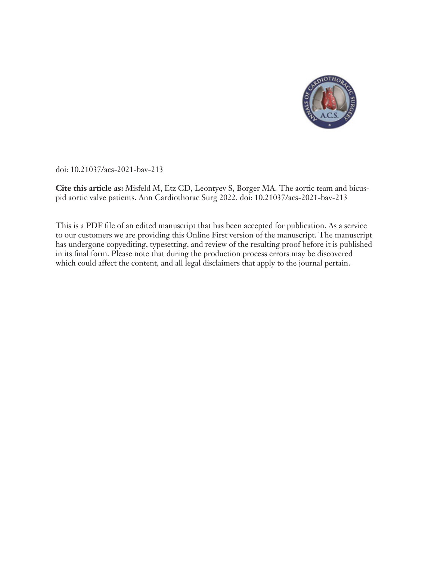

doi: 10.21037/acs-2021-bav-213

**Cite this article as:** Misfeld M, Etz CD, Leontyev S, Borger MA. The aortic team and bicuspid aortic valve patients. Ann Cardiothorac Surg 2022. doi: 10.21037/acs-2021-bav-213

This is a PDF file of an edited manuscript that has been accepted for publication. As a service to our customers we are providing this Online First version of the manuscript. The manuscript has undergone copyediting, typesetting, and review of the resulting proof before it is published in its final form. Please note that during the production process errors may be discovered which could affect the content, and all legal disclaimers that apply to the journal pertain.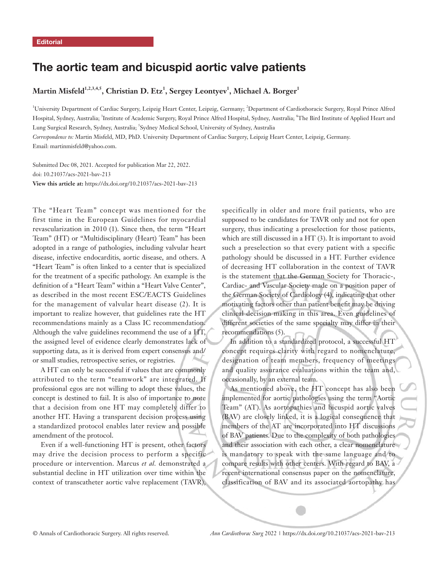# The aortic team and bicuspid aortic valve patients

## $M$ artin Misfeld $^{1,2,3,4,5}$ , Christian D. Etz $^1$ , Sergey Leontyev $^1$ , Michael A. Borger $^1$

<sup>1</sup>University Department of Cardiac Surgery, Leipzig Heart Center, Leipzig, Germany; <sup>2</sup>Department of Cardiothoracic Surgery, Royal Prince Alfred Hospital, Sydney, Australia; <sup>3</sup>Institute of Academic Surgery, Royal Prince Alfred Hospital, Sydney, Australia; <sup>4</sup>The Bird Institute of Applied Heart and Lung Surgical Research, Sydney, Australia; <sup>5</sup> Sydney Medical School, University of Sydney, Australia

*Correspondence to:* Martin Misfeld, MD, PhD. University Department of Cardiac Surgery, Leipzig Heart Center, Leipzig, Germany. Email: martinmisfeld@yahoo.com.

Submitted Dec 08, 2021. Accepted for publication Mar 22, 2022. doi: 10.21037/acs-2021-bav-213 **View this article at:** https://dx.doi.org/10.21037/acs-2021-bav-213

The "Heart Team" concept was mentioned for the first time in the European Guidelines for myocardial revascularization in 2010 (1). Since then, the term "Heart Team" (HT) or "Multidisciplinary (Heart) Team" has been adopted in a range of pathologies, including valvular heart disease, infective endocarditis, aortic disease, and others. A "Heart Team" is often linked to a center that is specialized for the treatment of a specific pathology. An example is the definition of a "Heart Team" within a "Heart Valve Center", as described in the most recent ESC/EACTS Guidelines for the management of valvular heart disease (2). It is important to realize however, that guidelines rate the HT recommendations mainly as a Class IC recommendation. Although the valve guidelines recommend the use of a HT, the assigned level of evidence clearly demonstrates lack of supporting data, as it is derived from expert consensus and/ or small studies, retrospective series, or registries.

A HT can only be successful if values that are commonly attributed to the term "teamwork" are integrated. If professional egos are not willing to adopt these values, the concept is destined to fail. It is also of importance to note that a decision from one HT may completely differ to another HT. Having a transparent decision process using a standardized protocol enables later review and possible amendment of the protocol.

Even if a well-functioning HT is present, other factors may drive the decision process to perform a specific procedure or intervention. Marcus *et al.* demonstrated a substantial decline in HT utilization over time within the context of transcatheter aortic valve replacement (TAVR), specifically in older and more frail patients, who are supposed to be candidates for TAVR only and not for open surgery, thus indicating a preselection for those patients, which are still discussed in a HT (3). It is important to avoid such a preselection so that every patient with a specific pathology should be discussed in a HT. Further evidence of decreasing HT collaboration in the context of TAVR is the statement that the German Society for Thoracic-, Cardiac- and Vascular Society made on a position paper of the German Society of Cardiology (4), indicating that other motivating factors other than patient benefit may be driving clinical decision making in this area. Even guidelines of different societies of the same specialty may differ in their recommendations (5).

In addition to a standardized protocol, a successful HT concept requires clarity with regard to nomenclature, designation of team members, frequency of meetings and quality assurance evaluations within the team and, occasionally, by an external team.

As mentioned above, the HT concept has also been implemented for aortic pathologies using the term "Aortic Team" (AT). As aortopathies and bicuspid aortic valves (BAV) are closely linked, it is a logical consequence that members of the AT are incorporated into HT discussions of BAV patients. Due to the complexity of both pathologies and their association with each other, a clear nomenclature is mandatory to speak with the same language and to compare results with other centers. With regard to BAV, a recent international consensus paper on the nomenclature, classification of BAV and its associated aortopathy has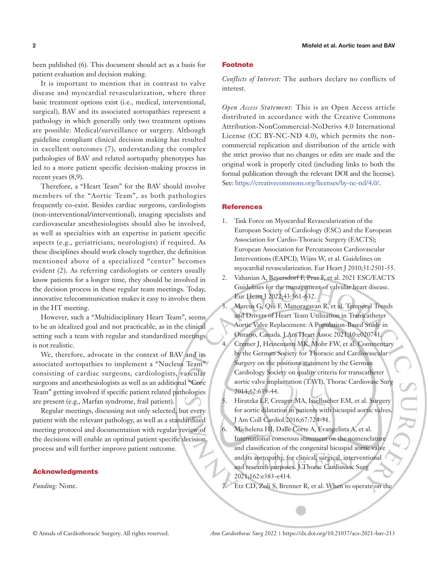been published (6). This document should act as a basis for patient evaluation and decision making.

It is important to mention that in contrast to valve disease and myocardial revascularization, where three basic treatment options exist (i.e., medical, interventional, surgical), BAV and its associated aortopathies represent a pathology in which generally only two treatment options are possible: Medical/surveillance or surgery. Although guideline compliant clinical decision making has resulted in excellent outcomes (7), understanding the complex pathologies of BAV and related aortopathy phenotypes has led to a more patient specific decision-making process in recent years  $(8.9)$ .

Therefore, a "Heart Team" for the BAV should involve members of the "Aortic Team", as both pathologies frequently co-exist. Besides cardiac surgeons, cardiologists (non-interventional/interventional), imaging specialists and cardiovascular anesthesiologists should also be involved, as well as specialties with an expertise in patient specific aspects (e.g., geriatricians, neurologists) if required. As these disciplines should work closely together, the definition mentioned above of a specialized "center" becomes evident (2). As referring cardiologists or centers usually know patients for a longer time, they should be involved in the decision process in these regular team meetings. Today, innovative telecommunication makes it easy to involve them in the HT meeting.

However, such a "Multidisciplinary Heart Team", seems to be an idealized goal and not practicable, as in the clinical setting such a team with regular and standardized meetings is not realistic.

We, therefore, advocate in the context of BAV and its associated aortopathies to implement a "Nucleus Team" consisting of cardiac surgeons, cardiologists, vascular surgeons and anesthesiologists as well as an additional "Core Team" getting involved if specific patient related pathologies are present (e.g., Marfan syndrome, frail patient).

Regular meetings, discussing not only selected, but every patient with the relevant pathology, as well as a standardized meeting protocol and documentation with regular review of the decisions will enable an optimal patient specific decision process and will further improve patient outcome.

#### Acknowledgments

*Funding:* None.

#### Footnote

*Conflicts of Interest:* The authors declare no conflicts of interest.

*Open Access Statement:* This is an Open Access article distributed in accordance with the Creative Commons Attribution-NonCommercial-NoDerivs 4.0 International License (CC BY-NC-ND 4.0), which permits the noncommercial replication and distribution of the article with the strict proviso that no changes or edits are made and the original work is properly cited (including links to both the formal publication through the relevant DOI and the license). See: https://creativecommons.org/licenses/by-nc-nd/4.0/.

#### **References**

- 1. Task Force on Myocardial Revascularization of the European Society of Cardiology (ESC) and the European Association for Cardio-Thoracic Surgery (EACTS); European Association for Percutaneous Cardiovascular Interventions (EAPCI); Wijns W, et al. Guidelines on myocardial revascularization. Eur Heart J 2010;31:2501-55.
- 2. Vahanian A, Beyersdorf F, Praz F, et al. 2021 ESC/EACTS Guidelines for the management of valvular heart disease. Eur Heart J 2022;43:561-632.
- 3. Marcus G, Qiu F, Manoragavan R, et al. Temporal Trends and Drivers of Heart Team Utilization in Transcatheter Aortic Valve Replacement: A Population-Based Study in Ontario, Canada. J Am Heart Assoc 2021;10:e020741. 4. Cremer J, Heinemann MK, Mohr FW, et al. Commentary by the German Society for Thoracic and Cardiovascular Surgery on the positions statement by the German Cardiology Society on quality criteria for transcatheter aortic valve implantation (TAVI). Thorac Cardiovasc Surg 2014;62:639-44.
- 5. Hiratzka LF, Creager MA, Isselbacher EM, et al. Surgery for aortic dilatation in patients with bicuspid aortic valves. J Am Coll Cardiol 2016;67:724-31.
- 6. Michelena HI, Dalle Corte A, Evangelista A, et al. International consensus statement on the nomenclature and classification of the congenital bicuspid aortic valve and its aortopathy, for clinical, surgical, interventional and research purposes. J Thorac Cardiovasc Surg 2021;162:e383-e414.
- 7. Etz CD, Zoli S, Brenner R, et al. When to operate on the